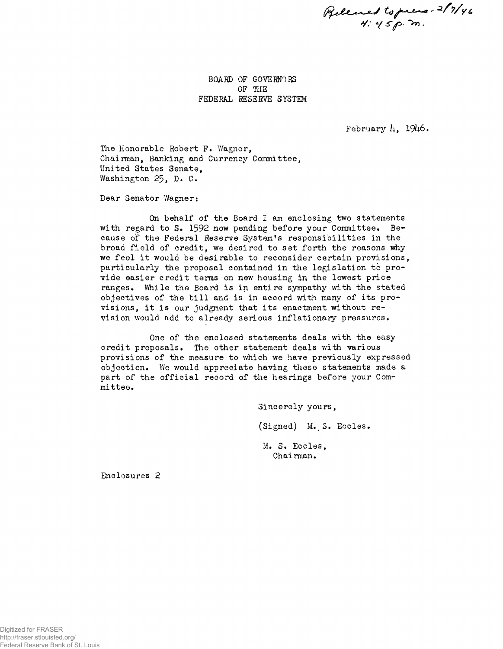**Pelenes to prese- 2/7/46**<br>4:45 p.m.

BOARD OF GOVERNORS OF THE FEDERAL RESERVE SYSTEM

February  $\mu$ , 1946.

The Honorable Robert F. Wagner, Chairman, Banking and Currency Committee, United States Senate, Washington 25, D. C.

Dear Senator Wagner:

On behalf of the Board I am enclosing two statements with regard to S. 1592 now pending before your Committee. Because of the Federal Reserve System's responsibilities in the broad field of credit, we desired to set forth the reasons why we feel it would be desirable to reconsider certain provisions, particularly the proposal contained in the legislation to provide easier credit terms on new housing in the lowest price ranges. While the Board is in entire sympathy with the stated objectives of the bill and is in accord with many of its provisions, it is our judgment that its enactment without revision would add to already serious inflationary pressures.

One of the enclosed statements deals with the easy credit proposals. The other statement deals with various provisions of the measure to which we have previously expressed objection. We would appreciate having these statements made a part of the official record of the hearings before your Committee.

> Sincerely yours, (Signed) M.S. Eccles. M. 3. Eccles, Chairman.

Enclosures 2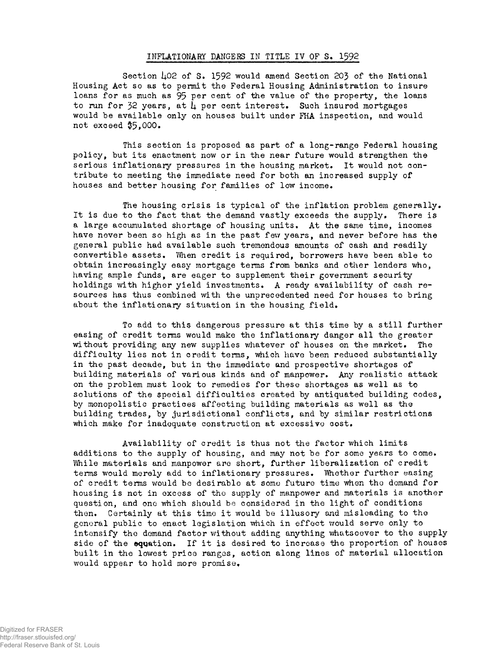#### INFLATIONARY DANGERS IN TITLE IV OF S. 1392

Section 402 of S. 1592 would amend Section 203 of the National Housing Act so as to permit the Federal Housing Administration to insure loans for as much as 95 per cent of the value of the property, the loans to run for 32 years, at  $\mu$  per cent interest. Such insured mortgages would be available only on houses built under FHA inspection, and would not exceed \$5,000.

This section is proposed as part of a long-range Federal housing policy, but its enactment now or in the near future would strengthen the serious inflationary pressures in the housing market. It would not contribute to meeting the immediate need for both an increased supply of houses and better housing for families of low income.

The housing crisis is typical of the inflation problem generally. It is due to the fact that the demand vastly exceeds the supply, There is a large accumulated shortage of housing units. At the same time, incomes have never been so high as in the past few years, and never before has the general public had available such tremendous amounts of cash and readily convertible assets. When credit is required, borrowers have been able to obtain increasingly easy mortgage terms from banks and other lenders who, having ample funds, are eager to supplement their government security holdings with higher yield investments. A ready availability of cash resources has thus combined with the unprecedented need for houses to bring about the inflationary situation in the housing field.

To add to thi§ dangerous pressure at this time by a still further easing of credit terms would make the inflationary danger all the greater without providing any new supplies whatever of houses on the market. The difficulty lies not in credit terms, which have been reduced substantially in the past decade, but in the immediate and prospective shortages of building materials of various kinds and of manpower. Any realistic attack on the problem must look to remedies for these shortages as well as to solutions of the special difficulties created by antiquated building codes, by monopolistic practices affecting building materials as well as the building trades, by jurisdictional conflicts, and by similar restrictions which make for inadequate construction at excessive cost.

Availability of credit is thus not the factor which limits additions to the supply of housing, and may not be for some years to come. While materials and manpower are short, further liberalization of credit terms would merely add to inflationary pressures. Whether further easing of credit terms would be desirable at some future time when the demand for housing is not in excess of tho supply of manpower and materials is another question, and ono which should be considered in the light of conditions then. Certainly at this time it would be illusory and misleading to the general public to enact legislation which in effect would serve only to intensify tho demand factor without adding anything whatsoever to the supply side of the equation. If it is desired to increase the proportion of houses built in the lowest price ranges, action along lines of material allocation would appear to hold more promise.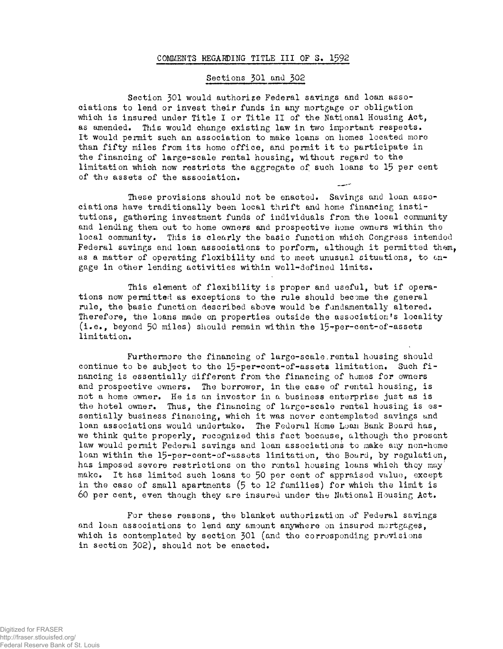### COMMENTS REGARDING TITLE III OF S. 1592

# Sections 301 and 302

Section 301 would authorize Federal savings and loan associations to lend or invest their funds in any mortgage or obligation which is insured under Title I or Title II of the National Housing Act, as amended. This would change existing law in two important respects. It would permit such an association to make loans on homes located more than fifty miles from its home office, and permit it to participate in the financing of large-scale rental housing, without regard to the limitation which now restricts the aggregate of such loans to 15 per cent of the assets of the association.

These provisions should not be enacted. Savings and loan associations have traditionally been local thrift and home financing institutions, gathering investment funds of individuals from the local community and lending them out to home owners and prospective home owners within the local community. This is clearly the basic function which Congress intended Federal savings and loan associations to perform, although it permitted them, as a matter of operating flexibility and to meet unusual situations, to engage in other lending activities within well-defined limits.

This element of flexibility is proper and useful, but if operations now permitted as exceptions to the rule should become the general rule, the basic function described above would be fundamentally altered. Therefore, the loans made on properties outside the association's locality  $(i.e., beyond 50 miles) should remain within the 15-per-cent-of-asserts$ limitation.

Furthermore the financing of large-scale, rental housing should continue to be subject to the 15-per-cent-of-assets limitation. Such financing is essentially different from the financing of homes for owners and prospective owners. The borrower, in the case of rental housing, is not a home owner. He is an investor in a business enterprise just as is the hotel owner. Thus, the financing of large-scale rental housing is essentially business financing, which it was nover contemplated savings and loan associations would undertake. The Federal Home Loan Bank Board has, we think quite properly, recognized this fact bocause, although the present law would permit Federal savings and loan associations to make any non-home loan within the 15-per-cent-of-assets limitation, the Board, by regulation, has imposed severe restrictions on the rental housing loans which they may make. It has limited such loans to 50 per cent of appraised value, except in the case of small apartments (5 to 12 families) for which the limit is 60 per cent, even though they are insured under the National Housing Act.

For these reasons, the blanket authorization of Federal savings and loan associations to lend any amount anywhere on insured mortgages, which is contemplated by section 301 (and the corresponding provisions in section 302), should not be enacted.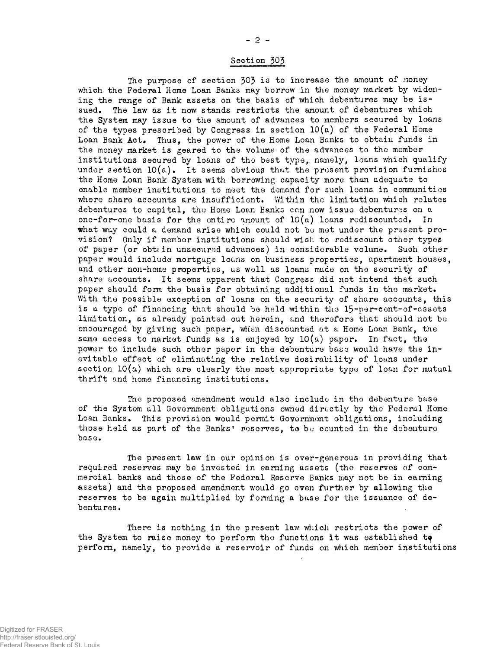## Section 303

The purpose of section 303 is to increase the amount of money which the Federal Home Loan Banks may borrow in the money market by widening the range of Bank assets on the basis of which debentures may be issued. The law as it now stands restricts the amount of debentures which the System may issue to the amount of advances to members secured by loans of the types prescribed by Congress in section 10(a) of the Federal Home Loan Bank Act. Thus, the power of the Home Loan Banks to obtain funds in the money market is geared to the volume of the advances to tho member institutions secured by loans of the best type, namely, loans which qualify under section  $10(a)$ . It seems obvious that the present provision furnishes the Home Loan Bank System with borrowing capacity more than adequate to enable member institutions to meet the demand for such loans in communities where share accounts are insufficient. Within the limitation which relates debentures to capital, tho Home Loan Banks can now issuo debentures on a one-for-one basis for the entire amount of  $10(a)$  loans rediscountod, In what way could a demand arise which could not bo met under the present provision? Only if member institutions should wish to rediscount other types of paper (or obttin unsecured advances) in considerable volume. Such other paper would include mortgage loans on business properties, apartment houses, and other non-home properties, us well as loans made on the security of share accounts. It seems apparent that Congress did not intend that such paper should form the basis for obtaining additional funds in the market. With the possible exception of loans on the security of share accounts, this is a type of financing that should be hold within tho 15-per-cont-of-assets limitation, as already pointed out herein, and therefore that should not be encouraged by giving such paper, when discounted at a Home Loan Bank, the same access to market funds as is enjoyed by  $10(a)$  paper. In fact, the power to include such other paper in the debenture base would have the inevitable effect of eliminating the relative desirability of louns under section  $10(a)$  which are clearly the most appropriate type of loan for mutual thrift and home financing institutions.

The proposed amendment would also include in the debenture base of the System all Government obligations owned directly by the Federal Home Loan Banks. This provision would permit Government obligations, including those held as part of the Banks' reserves, to be counted in the debenture base.

The present law in our opinion is over-generous in providing that required reserves may be invested in earning assets (the reserves of commercial banks and those of the Federal Reserve Banks may not be in earning assets) and the proposed amendment would go even further by allowing the reserves to be again multiplied by forming a base for the issuance of debentures.

There is nothing in the present law which restricts the power of the System to raise money to perform the functions it was established to perform, namely, to provide a reservoir of funds on which member institutions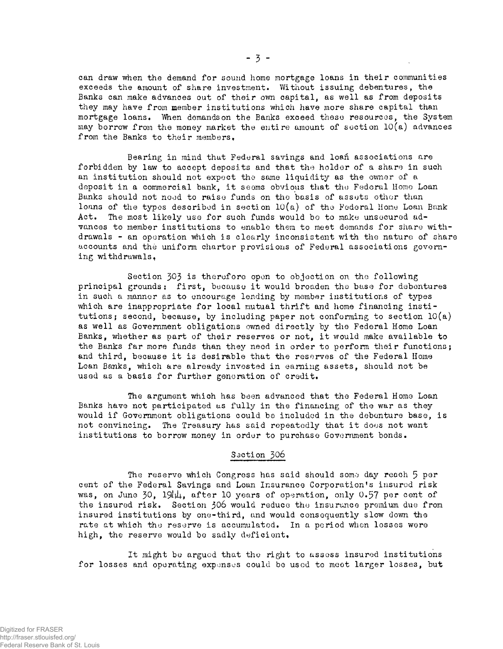can draw when the demand for sound home mortgage loans in their communities exceeds the amount of share investment. Without issuing debentures, the Banks can make advances out of their own capital, as well as from deposits they may have from member institutions which have more share capital than mortgage loans. When demands on the Banks exceed these resources, the System may borrow from the money market the entire amount of section  $10(a)$  advances from the Banks to their members.

Bearing in mind that Federal savings and loan associations are forbidden by law to accept deposits and that the holder of a share in such an institution should not expect the same liquidity as the owner of a deposit in a commercial bank, it seems obvious that the Federal Homo Loan Banks should not nood to raise funds on the basis of assets other than loans of the types described in section  $10(a)$  of the Federal Home Loan Bank Act, The most likely use for such funds would bo to make unsecured advances to member institutions to enable them to meet demands for share withdrawals - an operation which is clearly inconsistent with the nature of share accounts and the uniform charter provisions of Federal associations governing withdrawals.

Section 303 is therefore open to objection on the following principal grounds; first, because it would broaden the base for debentures in such a manner as to encourage lending by member institutions of types which are inappropriate for local mutual thrift and home financing institutions; second, because, by including paper not conforming to section  $l0(a)$ as well as Government obligations owned directly by the Federal Home Loan Banks, whether as part of their reserves or not, it would make available to the Banks far more funds than they need in order to perform their functions; and third, because it is desirable that the reserves of the Federal Home Loan Banks, which are already invested in earning assets, should not be used as a basis for further generation of credit.

The argument which has been advanced that the Federal Home Loan Banks have not participated us fully in the financing of the war as they would if Government obligations could be included in the debenture base, is not convincing. The Treasury has said repeatedly that it does not want institutions to borrow money in order to purchase Government bonds•

## Saction 306

The reserve which Congress has said should some day reach 5 per cent of the Federal Savings and Loan Insurance Corporation's insured risk was, on June 30,  $19\mu$ , after 10 years of operation, only 0.57 per cent of the insured risk. Section 306 would reduce the insurance premium due from insured institutions by one-third, and would consequently slow down the rate at which the reserve is accumulated. In a period when losses were high, the reserve would be sadly deficient.

It might be argued that the right to assess insured institutions for losses and operating expenses could be used to meet larger losses, but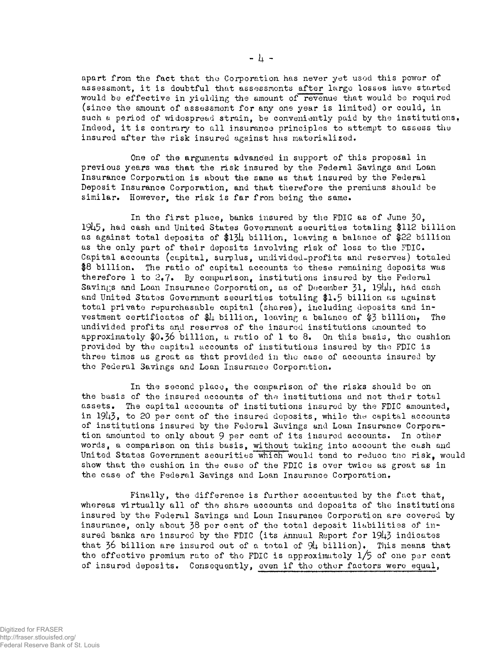apart from the fact that the Corporation has never yet used this power of assessment, it is doubtful that assessments after largo losses have started would be effective in yielding the amount of revenue that would be required (since the amount of assessment for any one year is limited) or could, in such a period of widespread strain, be conveniently paid by the institutions, Indeed, it is contrary to all insurance principles to attempt to assess the insured after the risk insured against has materialized.

One of the arguments advanced in support of this proposal in previous years was that the risk insured by the Federal Savings and Loan Insurance Corporation is about the same as that insured by the Federal Deposit Insurance Corporation, and that therefore the premiums should be similar. However, the risk is far from being the same.

In the first place, banks insured by the FDIC as of June 30, 19U5, had cash and United States Government securities totaling \$112 billion as against total deposits of \$134 billion, leaving a balance of \$22 billion as the only part of their deposits involving risk of loss to the FDIC. Capital accounts (capital, surplus, undivided-profits and reserves) totaled \$8 billion. The ratio of capital accounts to these remaining deposits was therefore 1 to  $2.7$ . By comparison, institutions insured by the Federal Savings and Loan Insurance Corporation, as of December 31,  $1944$ , had cash and United States Government securities totaling \$1.5 billion as against total private repurchasable capital (shares), including deposits and investment certificates of \$4 billion, leaving a balance of \$3 billion, The undivided profits and reserves of the insured institutions tanounted to approximately  $0.36$  billion, a ratio of 1 to 8. On this basis, the cushion provided by the capital accounts of institutions insured by tho FDIC is three times as great as that provided in the case of accounts insured by the Federal Savings and Loan Insurance Corporation.

In the second place, the comparison of the risks should be on the basis of the insured accounts of the institutions and not their total assets. The capital accounts of institutions insured by the FDIC amounted, in  $1943$ , to 20 per cent of the insured deposits, while the capital accounts of institutions insured by the Federal Savings and Loan Insurance Corporation amounted to only about 9 per cent of its insured accounts. In other words, a comparison on this basis, without taking into account the cash and United States Government securities which would tend to reduce the risk, would show that the cushion in the case of the FDIC is over twice as great as in the case of the Federal Savings and Loan Insurance Corporation.

Finally, the difference is further accentuated by the fact that, whereas virtually all of the share accounts and deposits of the institutions insured by the Foderal Savings and Loan Insurance Corporation are covered by insurance, only about  $38$  per cent of the total deposit liabilities of insured banks are insured by the FDIC (its Annual Report for  $1943$  indicates that 36 billion are insured out of a total of  $9\mu$  billion). This means that the effective premium rate of the FDIC is approximately  $1/5$  of one per cent of insured deposits. Consequently, even if tho other factors were equal,